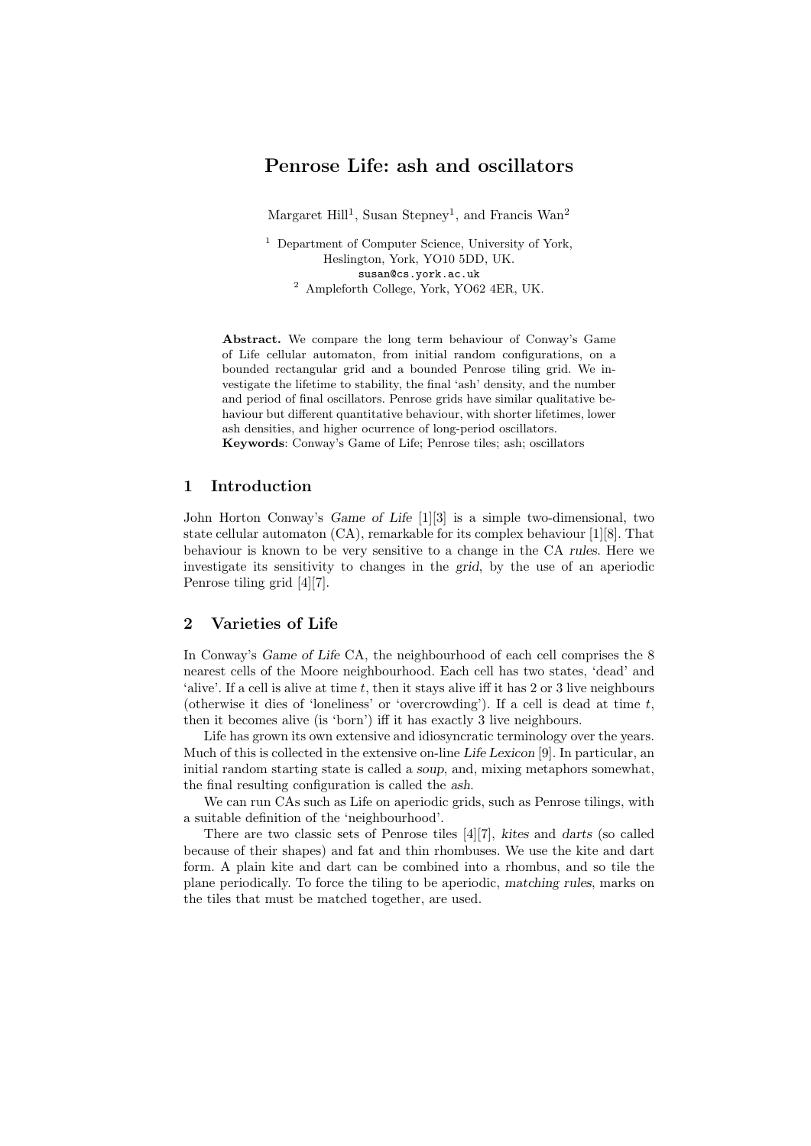# Penrose Life: ash and oscillators

Margaret Hill<sup>1</sup>, Susan Stepney<sup>1</sup>, and Francis Wan<sup>2</sup>

<sup>1</sup> Department of Computer Science, University of York, Heslington, York, YO10 5DD, UK. susan@cs.york.ac.uk <sup>2</sup> Ampleforth College, York, YO62 4ER, UK.

Abstract. We compare the long term behaviour of Conway's Game of Life cellular automaton, from initial random configurations, on a bounded rectangular grid and a bounded Penrose tiling grid. We investigate the lifetime to stability, the final 'ash' density, and the number and period of final oscillators. Penrose grids have similar qualitative behaviour but different quantitative behaviour, with shorter lifetimes, lower ash densities, and higher ocurrence of long-period oscillators. Keywords: Conway's Game of Life; Penrose tiles; ash; oscillators

## 1 Introduction

John Horton Conway's Game of Life [1][3] is a simple two-dimensional, two state cellular automaton (CA), remarkable for its complex behaviour [1][8]. That behaviour is known to be very sensitive to a change in the CA rules. Here we investigate its sensitivity to changes in the grid, by the use of an aperiodic Penrose tiling grid [4][7].

#### 2 Varieties of Life

In Conway's Game of Life CA, the neighbourhood of each cell comprises the 8 nearest cells of the Moore neighbourhood. Each cell has two states, 'dead' and 'alive'. If a cell is alive at time t, then it stays alive iff it has 2 or 3 live neighbours (otherwise it dies of 'loneliness' or 'overcrowding'). If a cell is dead at time t, then it becomes alive (is 'born') iff it has exactly 3 live neighbours.

Life has grown its own extensive and idiosyncratic terminology over the years. Much of this is collected in the extensive on-line Life Lexicon [9]. In particular, an initial random starting state is called a soup, and, mixing metaphors somewhat, the final resulting configuration is called the ash.

We can run CAs such as Life on aperiodic grids, such as Penrose tilings, with a suitable definition of the 'neighbourhood'.

There are two classic sets of Penrose tiles [4][7], kites and darts (so called because of their shapes) and fat and thin rhombuses. We use the kite and dart form. A plain kite and dart can be combined into a rhombus, and so tile the plane periodically. To force the tiling to be aperiodic, matching rules, marks on the tiles that must be matched together, are used.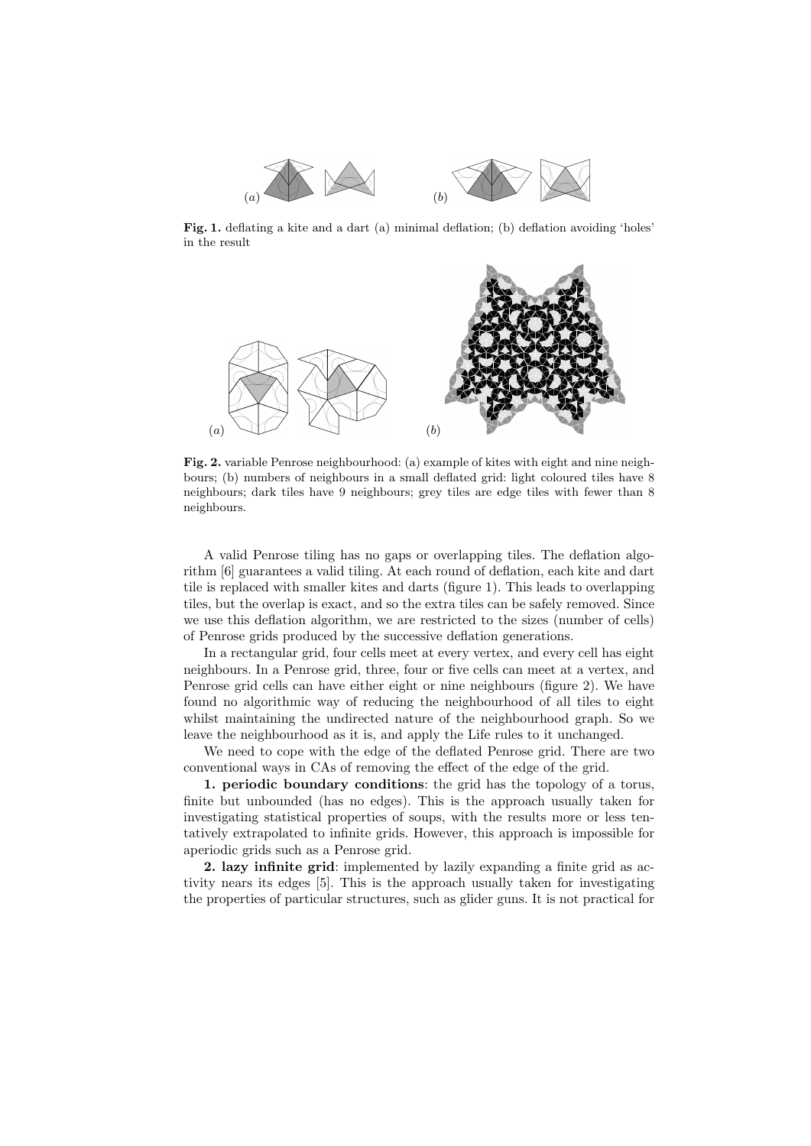

Fig. 1. deflating a kite and a dart (a) minimal deflation; (b) deflation avoiding 'holes' in the result



Fig. 2. variable Penrose neighbourhood: (a) example of kites with eight and nine neighbours; (b) numbers of neighbours in a small deflated grid: light coloured tiles have 8 neighbours; dark tiles have 9 neighbours; grey tiles are edge tiles with fewer than 8 neighbours.

A valid Penrose tiling has no gaps or overlapping tiles. The deflation algorithm [6] guarantees a valid tiling. At each round of deflation, each kite and dart tile is replaced with smaller kites and darts (figure 1). This leads to overlapping tiles, but the overlap is exact, and so the extra tiles can be safely removed. Since we use this deflation algorithm, we are restricted to the sizes (number of cells) of Penrose grids produced by the successive deflation generations.

In a rectangular grid, four cells meet at every vertex, and every cell has eight neighbours. In a Penrose grid, three, four or five cells can meet at a vertex, and Penrose grid cells can have either eight or nine neighbours (figure 2). We have found no algorithmic way of reducing the neighbourhood of all tiles to eight whilst maintaining the undirected nature of the neighbourhood graph. So we leave the neighbourhood as it is, and apply the Life rules to it unchanged.

We need to cope with the edge of the deflated Penrose grid. There are two conventional ways in CAs of removing the effect of the edge of the grid.

1. periodic boundary conditions: the grid has the topology of a torus, finite but unbounded (has no edges). This is the approach usually taken for investigating statistical properties of soups, with the results more or less tentatively extrapolated to infinite grids. However, this approach is impossible for aperiodic grids such as a Penrose grid.

2. lazy infinite grid: implemented by lazily expanding a finite grid as activity nears its edges [5]. This is the approach usually taken for investigating the properties of particular structures, such as glider guns. It is not practical for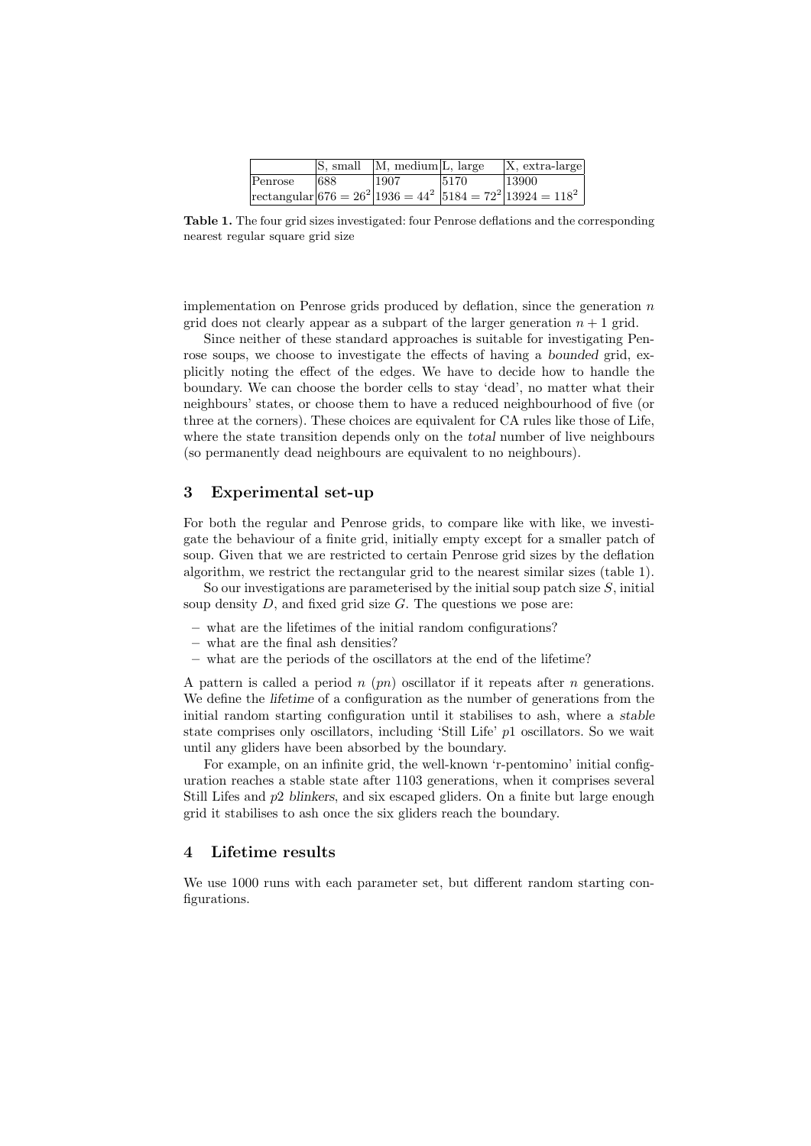|         | S, small | M, medium <sub>L</sub> , large |      | $X$ , extra-large                                                             |
|---------|----------|--------------------------------|------|-------------------------------------------------------------------------------|
| Penrose | 1688     | 1907                           | 5170 | 13900                                                                         |
|         |          |                                |      | $\text{rectangular}   676 = 26^2   1936 = 44^2   5184 = 72^2   13924 = 118^2$ |

Table 1. The four grid sizes investigated: four Penrose deflations and the corresponding nearest regular square grid size

implementation on Penrose grids produced by deflation, since the generation  $n$ grid does not clearly appear as a subpart of the larger generation  $n + 1$  grid.

Since neither of these standard approaches is suitable for investigating Penrose soups, we choose to investigate the effects of having a bounded grid, explicitly noting the effect of the edges. We have to decide how to handle the boundary. We can choose the border cells to stay 'dead', no matter what their neighbours' states, or choose them to have a reduced neighbourhood of five (or three at the corners). These choices are equivalent for CA rules like those of Life, where the state transition depends only on the *total* number of live neighbours (so permanently dead neighbours are equivalent to no neighbours).

## 3 Experimental set-up

For both the regular and Penrose grids, to compare like with like, we investigate the behaviour of a finite grid, initially empty except for a smaller patch of soup. Given that we are restricted to certain Penrose grid sizes by the deflation algorithm, we restrict the rectangular grid to the nearest similar sizes (table 1).

So our investigations are parameterised by the initial soup patch size  $S$ , initial soup density  $D$ , and fixed grid size  $G$ . The questions we pose are:

- what are the lifetimes of the initial random configurations?
- what are the final ash densities?
- what are the periods of the oscillators at the end of the lifetime?

A pattern is called a period  $n$  (pn) oscillator if it repeats after n generations. We define the *lifetime* of a configuration as the number of generations from the initial random starting configuration until it stabilises to ash, where a stable state comprises only oscillators, including 'Still Life' p1 oscillators. So we wait until any gliders have been absorbed by the boundary.

For example, on an infinite grid, the well-known 'r-pentomino' initial configuration reaches a stable state after 1103 generations, when it comprises several Still Lifes and p2 blinkers, and six escaped gliders. On a finite but large enough grid it stabilises to ash once the six gliders reach the boundary.

### 4 Lifetime results

We use 1000 runs with each parameter set, but different random starting configurations.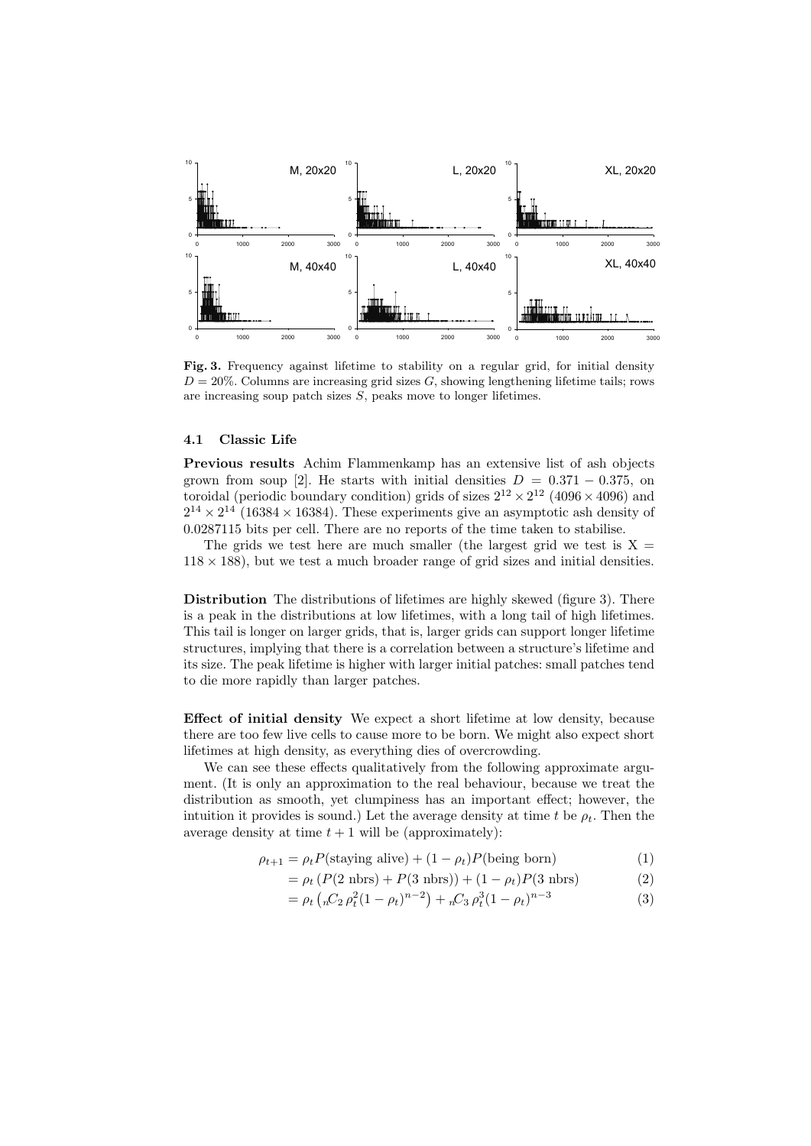

Fig. 3. Frequency against lifetime to stability on a regular grid, for initial density  $D = 20\%$ . Columns are increasing grid sizes G, showing lengthening lifetime tails; rows are increasing soup patch sizes S, peaks move to longer lifetimes.

### 4.1 Classic Life

Previous results Achim Flammenkamp has an extensive list of ash objects grown from soup [2]. He starts with initial densities  $D = 0.371 - 0.375$ , on toroidal (periodic boundary condition) grids of sizes  $2^{12} \times 2^{12}$  (4096  $\times$  4096) and  $2^{14} \times 2^{14}$  (16384 × 16384). These experiments give an asymptotic ash density of 0.0287115 bits per cell. There are no reports of the time taken to stabilise.

The grids we test here are much smaller (the largest grid we test is  $X =$  $118 \times 188$ , but we test a much broader range of grid sizes and initial densities.

Distribution The distributions of lifetimes are highly skewed (figure 3). There is a peak in the distributions at low lifetimes, with a long tail of high lifetimes. This tail is longer on larger grids, that is, larger grids can support longer lifetime structures, implying that there is a correlation between a structure's lifetime and its size. The peak lifetime is higher with larger initial patches: small patches tend to die more rapidly than larger patches.

Effect of initial density We expect a short lifetime at low density, because there are too few live cells to cause more to be born. We might also expect short lifetimes at high density, as everything dies of overcrowding.

We can see these effects qualitatively from the following approximate argument. (It is only an approximation to the real behaviour, because we treat the distribution as smooth, yet clumpiness has an important effect; however, the intuition it provides is sound.) Let the average density at time t be  $\rho_t$ . Then the average density at time  $t + 1$  will be (approximately):

$$
\rho_{t+1} = \rho_t P(\text{staying alive}) + (1 - \rho_t) P(\text{being born}) \tag{1}
$$

$$
= \rho_t (P(2 \text{ nbrs}) + P(3 \text{ nbrs})) + (1 - \rho_t) P(3 \text{ nbrs})
$$
 (2)

$$
= \rho_t \left( {}_{n}C_2 \rho_t^2 (1 - \rho_t)^{n-2} \right) + {}_{n}C_3 \rho_t^3 (1 - \rho_t)^{n-3}
$$
\n(3)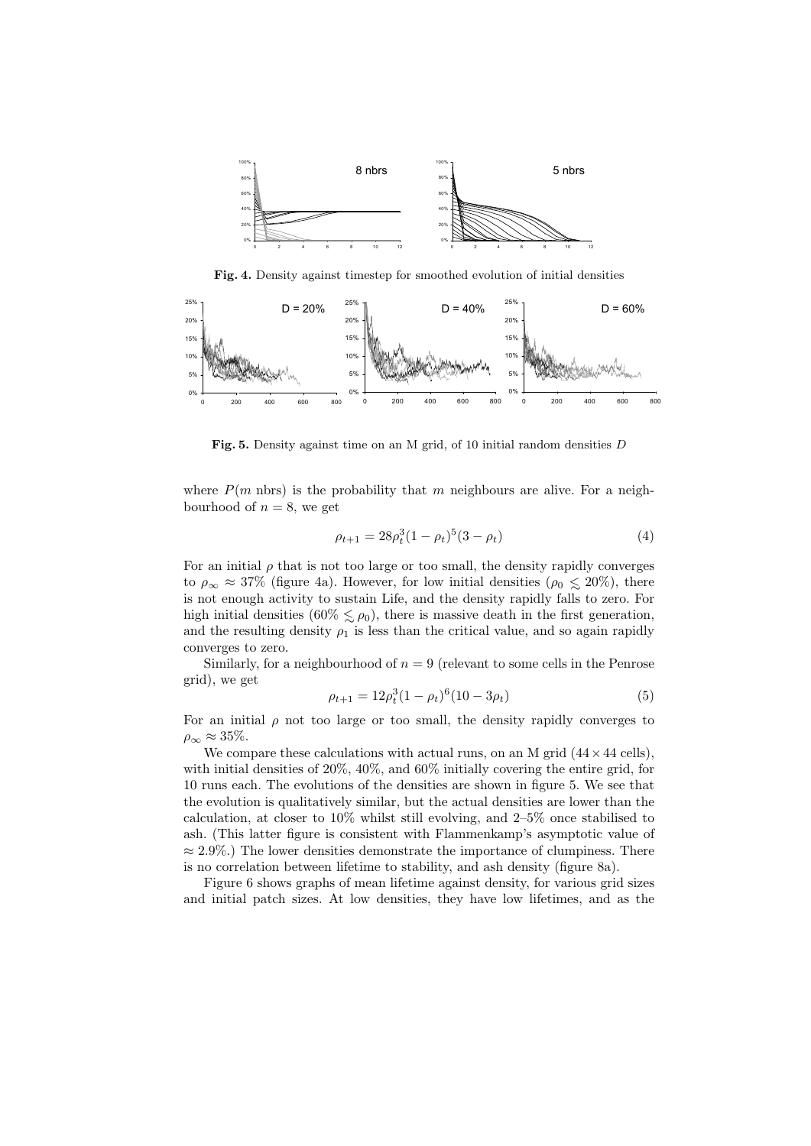

Fig. 4. Density against timestep for smoothed evolution of initial densities



Fig. 5. Density against time on an M grid, of 10 initial random densities D

where  $P(m \text{ nbrs})$  is the probability that m neighbours are alive. For a neighbourhood of  $n = 8$ , we get

$$
\rho_{t+1} = 28\rho_t^3 (1 - \rho_t)^5 (3 - \rho_t) \tag{4}
$$

For an initial  $\rho$  that is not too large or too small, the density rapidly converges to  $\rho_{\infty} \approx 37\%$  (figure 4a). However, for low initial densities ( $\rho_0 \lesssim 20\%$ ), there is not enough activity to sustain Life, and the density rapidly falls to zero. For high initial densities (60%  $\leq \rho_0$ ), there is massive death in the first generation, and the resulting density  $\rho_1$  is less than the critical value, and so again rapidly converges to zero.

Similarly, for a neighbourhood of  $n = 9$  (relevant to some cells in the Penrose grid), we get

$$
\rho_{t+1} = 12\rho_t^3 (1 - \rho_t)^6 (10 - 3\rho_t)
$$
\n(5)

For an initial  $\rho$  not too large or too small, the density rapidly converges to  $\rho_{\infty} \approx 35\%.$ 

We compare these calculations with actual runs, on an M grid  $(44 \times 44 \text{ cells})$ , with initial densities of 20%, 40%, and 60% initially covering the entire grid, for 10 runs each. The evolutions of the densities are shown in figure 5. We see that the evolution is qualitatively similar, but the actual densities are lower than the calculation, at closer to 10% whilst still evolving, and 2–5% once stabilised to ash. (This latter figure is consistent with Flammenkamp's asymptotic value of  $\approx 2.9\%$ .) The lower densities demonstrate the importance of clumpiness. There is no correlation between lifetime to stability, and ash density (figure 8a).

Figure 6 shows graphs of mean lifetime against density, for various grid sizes and initial patch sizes. At low densities, they have low lifetimes, and as the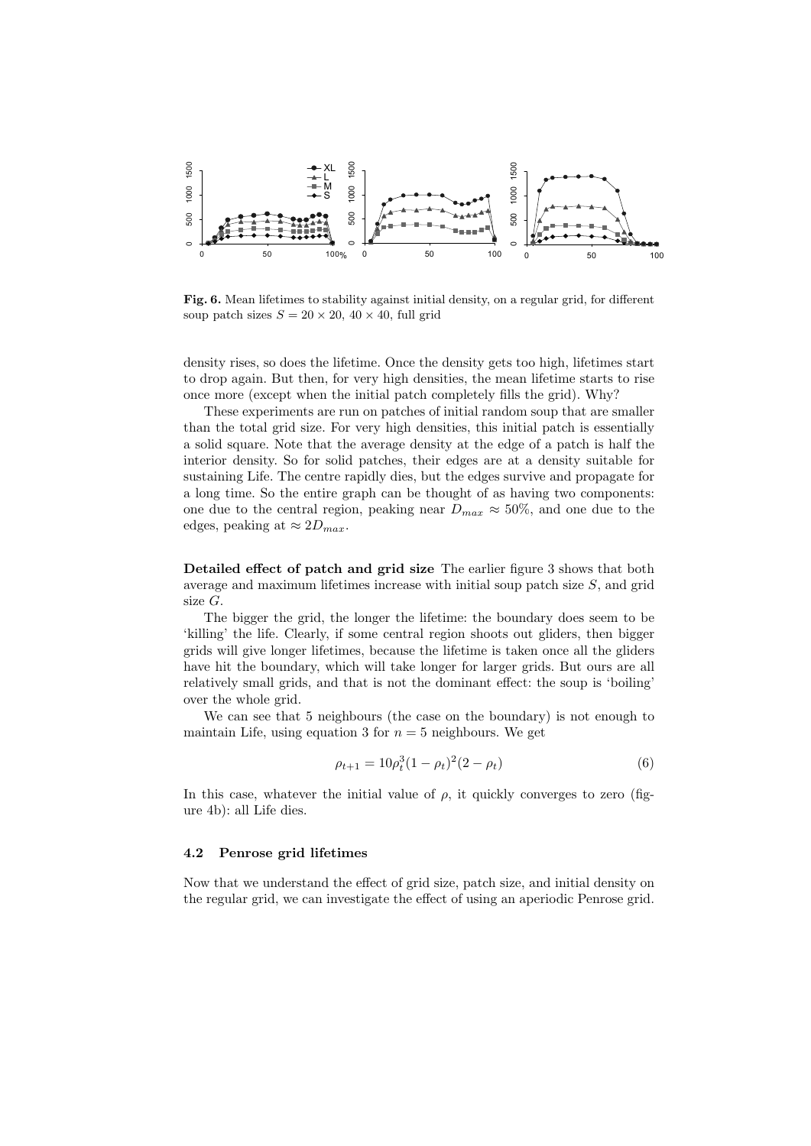

Fig. 6. Mean lifetimes to stability against initial density, on a regular grid, for different soup patch sizes  $S = 20 \times 20$ ,  $40 \times 40$ , full grid

density rises, so does the lifetime. Once the density gets too high, lifetimes start to drop again. But then, for very high densities, the mean lifetime starts to rise once more (except when the initial patch completely fills the grid). Why?

These experiments are run on patches of initial random soup that are smaller than the total grid size. For very high densities, this initial patch is essentially a solid square. Note that the average density at the edge of a patch is half the interior density. So for solid patches, their edges are at a density suitable for sustaining Life. The centre rapidly dies, but the edges survive and propagate for a long time. So the entire graph can be thought of as having two components: one due to the central region, peaking near  $D_{max} \approx 50\%$ , and one due to the edges, peaking at  $\approx 2D_{max}$ .

Detailed effect of patch and grid size The earlier figure 3 shows that both average and maximum lifetimes increase with initial soup patch size  $S$ , and grid size G.

The bigger the grid, the longer the lifetime: the boundary does seem to be 'killing' the life. Clearly, if some central region shoots out gliders, then bigger grids will give longer lifetimes, because the lifetime is taken once all the gliders have hit the boundary, which will take longer for larger grids. But ours are all relatively small grids, and that is not the dominant effect: the soup is 'boiling' over the whole grid.

We can see that 5 neighbours (the case on the boundary) is not enough to maintain Life, using equation 3 for  $n = 5$  neighbours. We get

$$
\rho_{t+1} = 10\rho_t^3 (1 - \rho_t)^2 (2 - \rho_t)
$$
\n(6)

In this case, whatever the initial value of  $\rho$ , it quickly converges to zero (figure 4b): all Life dies.

#### 4.2 Penrose grid lifetimes

Now that we understand the effect of grid size, patch size, and initial density on the regular grid, we can investigate the effect of using an aperiodic Penrose grid.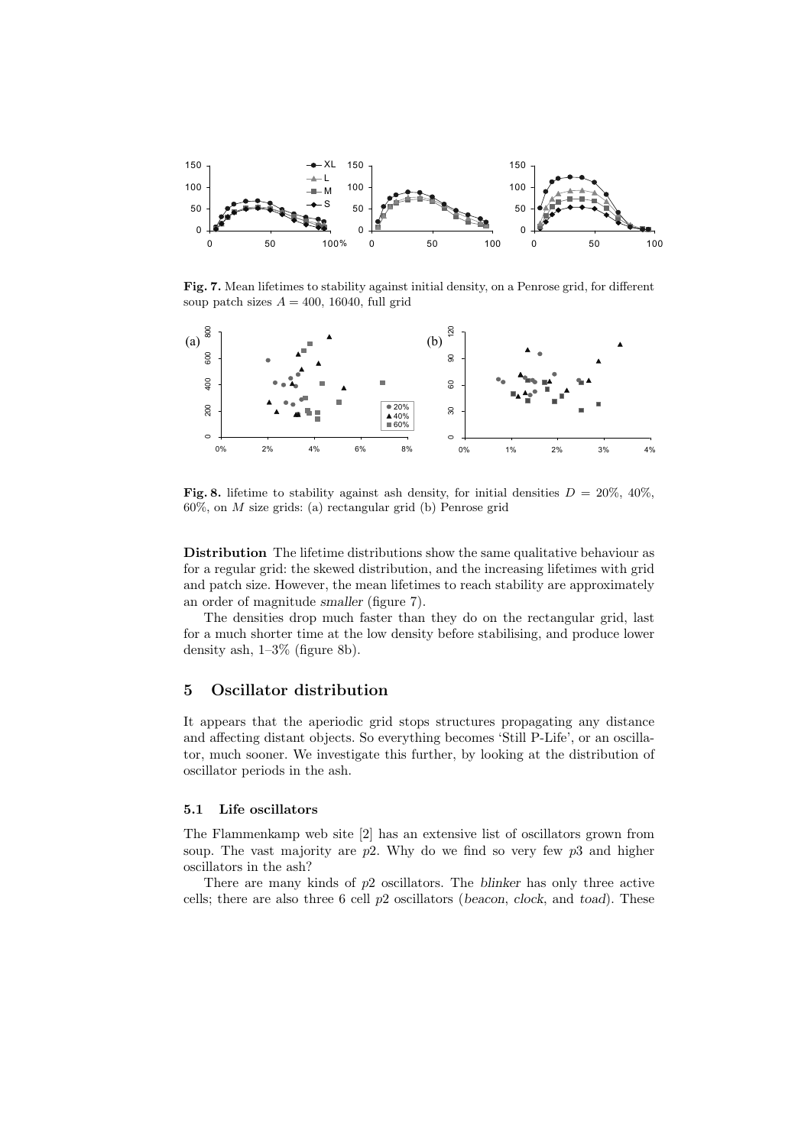

Fig. 7. Mean lifetimes to stability against initial density, on a Penrose grid, for different soup patch sizes  $A = 400$ , 16040, full grid



Fig. 8. lifetime to stability against ash density, for initial densities  $D = 20\%$ , 40%,  $60\%$ , on M size grids: (a) rectangular grid (b) Penrose grid

Distribution The lifetime distributions show the same qualitative behaviour as for a regular grid: the skewed distribution, and the increasing lifetimes with grid and patch size. However, the mean lifetimes to reach stability are approximately an order of magnitude smaller (figure 7).

The densities drop much faster than they do on the rectangular grid, last for a much shorter time at the low density before stabilising, and produce lower density ash, 1–3% (figure 8b).

## 5 Oscillator distribution

It appears that the aperiodic grid stops structures propagating any distance and affecting distant objects. So everything becomes 'Still P-Life', or an oscillator, much sooner. We investigate this further, by looking at the distribution of oscillator periods in the ash.

#### 5.1 Life oscillators

The Flammenkamp web site [2] has an extensive list of oscillators grown from soup. The vast majority are  $p2$ . Why do we find so very few  $p3$  and higher oscillators in the ash?

There are many kinds of p2 oscillators. The blinker has only three active cells; there are also three  $6$  cell  $p2$  oscillators (beacon, clock, and toad). These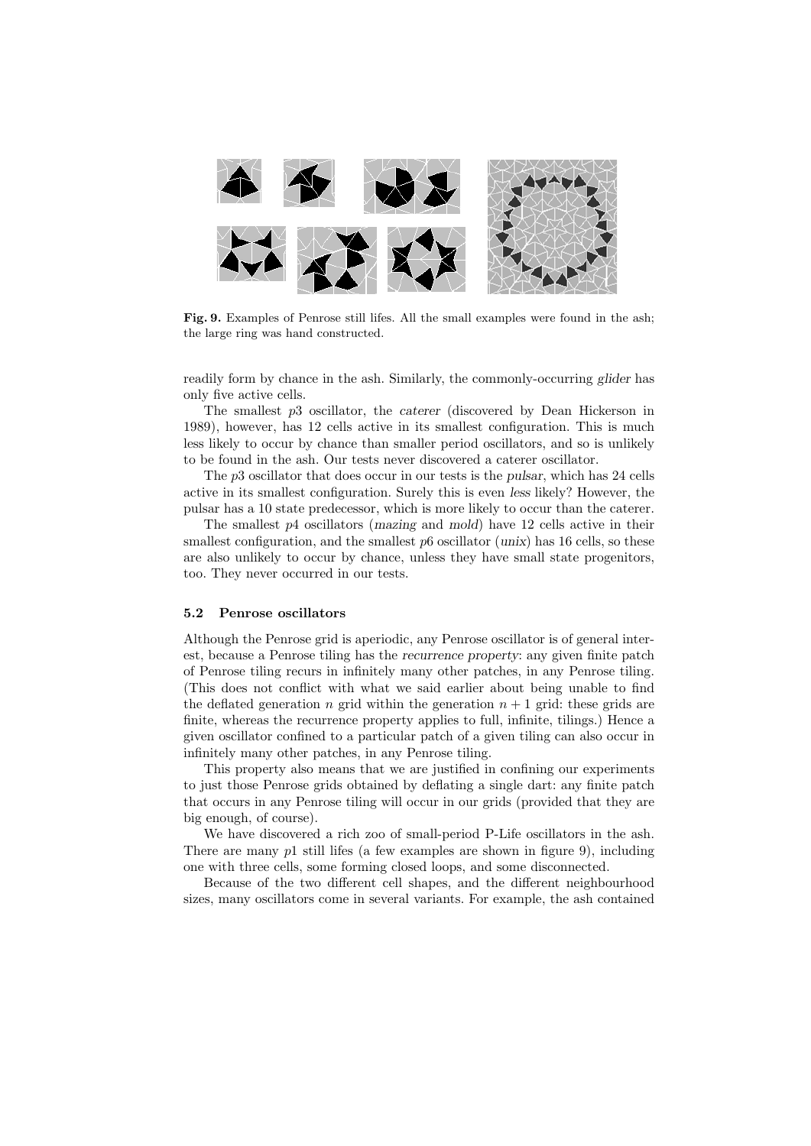

Fig. 9. Examples of Penrose still lifes. All the small examples were found in the ash; the large ring was hand constructed.

readily form by chance in the ash. Similarly, the commonly-occurring glider has only five active cells.

The smallest  $p3$  oscillator, the *caterer* (discovered by Dean Hickerson in 1989), however, has 12 cells active in its smallest configuration. This is much less likely to occur by chance than smaller period oscillators, and so is unlikely to be found in the ash. Our tests never discovered a caterer oscillator.

The p3 oscillator that does occur in our tests is the pulsar, which has 24 cells active in its smallest configuration. Surely this is even less likely? However, the pulsar has a 10 state predecessor, which is more likely to occur than the caterer.

The smallest p4 oscillators (mazing and mold) have 12 cells active in their smallest configuration, and the smallest  $p6$  oscillator (unix) has 16 cells, so these are also unlikely to occur by chance, unless they have small state progenitors, too. They never occurred in our tests.

#### 5.2 Penrose oscillators

Although the Penrose grid is aperiodic, any Penrose oscillator is of general interest, because a Penrose tiling has the recurrence property: any given finite patch of Penrose tiling recurs in infinitely many other patches, in any Penrose tiling. (This does not conflict with what we said earlier about being unable to find the deflated generation n grid within the generation  $n + 1$  grid: these grids are finite, whereas the recurrence property applies to full, infinite, tilings.) Hence a given oscillator confined to a particular patch of a given tiling can also occur in infinitely many other patches, in any Penrose tiling.

This property also means that we are justified in confining our experiments to just those Penrose grids obtained by deflating a single dart: any finite patch that occurs in any Penrose tiling will occur in our grids (provided that they are big enough, of course).

We have discovered a rich zoo of small-period P-Life oscillators in the ash. There are many  $p1$  still lifes (a few examples are shown in figure 9), including one with three cells, some forming closed loops, and some disconnected.

Because of the two different cell shapes, and the different neighbourhood sizes, many oscillators come in several variants. For example, the ash contained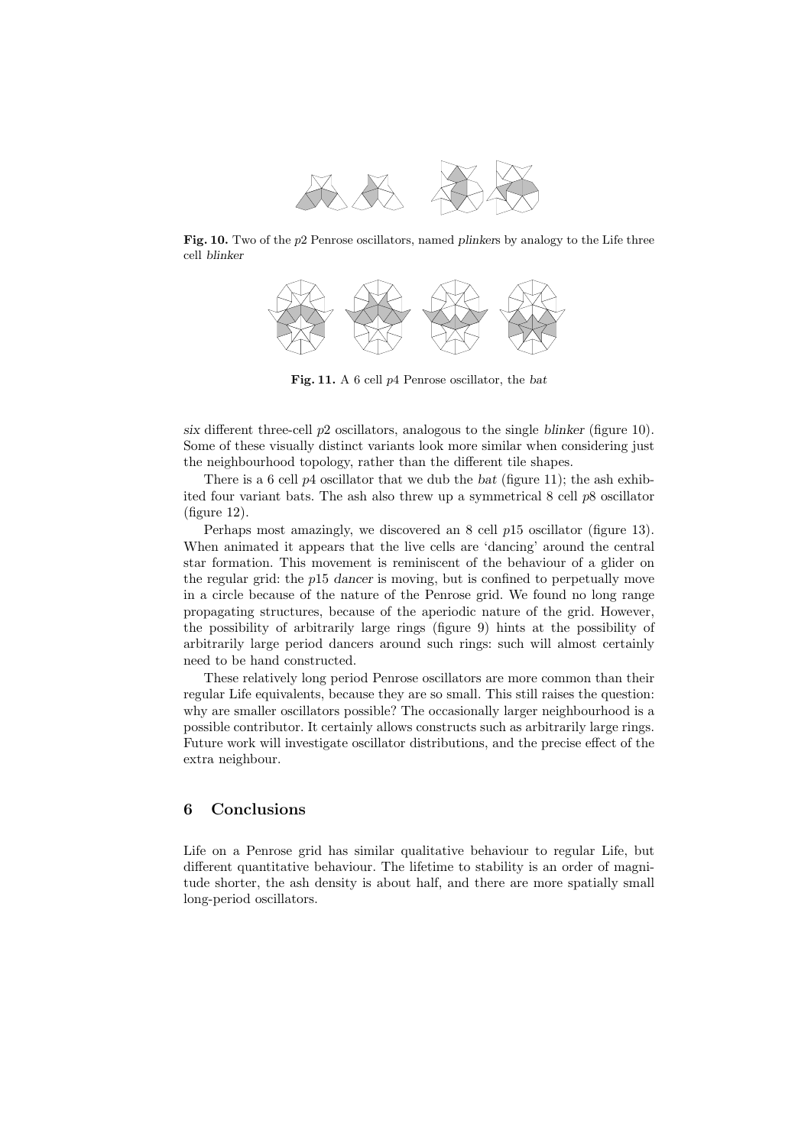

Fig. 10. Two of the  $p2$  Penrose oscillators, named plinkers by analogy to the Life three cell blinker



Fig. 11. A 6 cell p4 Penrose oscillator, the bat

six different three-cell  $p2$  oscillators, analogous to the single blinker (figure 10). Some of these visually distinct variants look more similar when considering just the neighbourhood topology, rather than the different tile shapes.

There is a 6 cell  $p_4$  oscillator that we dub the bat (figure 11); the ash exhibited four variant bats. The ash also threw up a symmetrical  $8$  cell  $p8$  oscillator (figure 12).

Perhaps most amazingly, we discovered an 8 cell p15 oscillator (figure 13). When animated it appears that the live cells are 'dancing' around the central star formation. This movement is reminiscent of the behaviour of a glider on the regular grid: the p15 dancer is moving, but is confined to perpetually move in a circle because of the nature of the Penrose grid. We found no long range propagating structures, because of the aperiodic nature of the grid. However, the possibility of arbitrarily large rings (figure 9) hints at the possibility of arbitrarily large period dancers around such rings: such will almost certainly need to be hand constructed.

These relatively long period Penrose oscillators are more common than their regular Life equivalents, because they are so small. This still raises the question: why are smaller oscillators possible? The occasionally larger neighbourhood is a possible contributor. It certainly allows constructs such as arbitrarily large rings. Future work will investigate oscillator distributions, and the precise effect of the extra neighbour.

## 6 Conclusions

Life on a Penrose grid has similar qualitative behaviour to regular Life, but different quantitative behaviour. The lifetime to stability is an order of magnitude shorter, the ash density is about half, and there are more spatially small long-period oscillators.